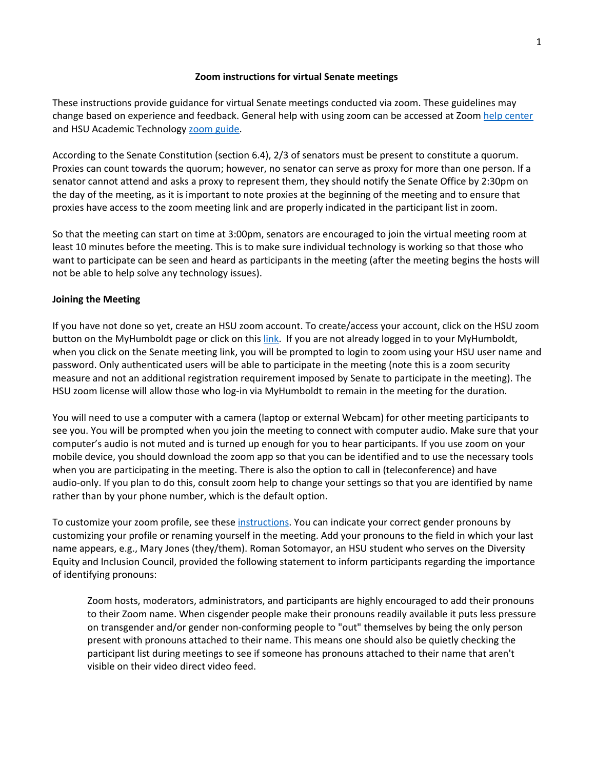### **Zoom instructions for virtual Senate meetings**

These instructions provide guidance for virtual Senate meetings conducted via zoom. These guidelines may change based on experience and feedback. General help with using zoom can be accessed at Zoom help [center](https://support.zoom.us/hc/en-us) and HSU Academic Technology zoom [guide.](https://atguides.humboldt.edu/m/zoom/l/746359-what-is-zoom)

According to the Senate Constitution (section 6.4), 2/3 of senators must be present to constitute a quorum. Proxies can count towards the quorum; however, no senator can serve as proxy for more than one person. If a senator cannot attend and asks a proxy to represent them, they should notify the Senate Office by 2:30pm on the day of the meeting, as it is important to note proxies at the beginning of the meeting and to ensure that proxies have access to the zoom meeting link and are properly indicated in the participant list in zoom.

So that the meeting can start on time at 3:00pm, senators are encouraged to join the virtual meeting room at least 10 minutes before the meeting. This is to make sure individual technology is working so that those who want to participate can be seen and heard as participants in the meeting (after the meeting begins the hosts will not be able to help solve any technology issues).

# **Joining the Meeting**

If you have not done so yet, create an HSU zoom account. To create/access your account, click on the HSU zoom button on the MyHumboldt page or click on this [link.](https://humboldtstate.zoom.us/) If you are not already logged in to your MyHumboldt, when you click on the Senate meeting link, you will be prompted to login to zoom using your HSU user name and password. Only authenticated users will be able to participate in the meeting (note this is a zoom security measure and not an additional registration requirement imposed by Senate to participate in the meeting). The HSU zoom license will allow those who log-in via MyHumboldt to remain in the meeting for the duration.

You will need to use a computer with a camera (laptop or external Webcam) for other meeting participants to see you. You will be prompted when you join the meeting to connect with computer audio. Make sure that your computer's audio is not muted and is turned up enough for you to hear participants. If you use zoom on your mobile device, you should download the zoom app so that you can be identified and to use the necessary tools when you are participating in the meeting. There is also the option to call in (teleconference) and have audio-only. If you plan to do this, consult zoom help to change your settings so that you are identified by name rather than by your phone number, which is the default option.

To customize your zoom profile, see these [instructions.](https://support.zoom.us/hc/en-us/articles/201363203) You can indicate your correct gender pronouns by customizing your profile or renaming yourself in the meeting. Add your pronouns to the field in which your last name appears, e.g., Mary Jones (they/them). Roman Sotomayor, an HSU student who serves on the Diversity Equity and Inclusion Council, provided the following statement to inform participants regarding the importance of identifying pronouns:

Zoom hosts, moderators, administrators, and participants are highly encouraged to add their pronouns to their Zoom name. When cisgender people make their pronouns readily available it puts less pressure on transgender and/or gender non-conforming people to "out" themselves by being the only person present with pronouns attached to their name. This means one should also be quietly checking the participant list during meetings to see if someone has pronouns attached to their name that aren't visible on their video direct video feed.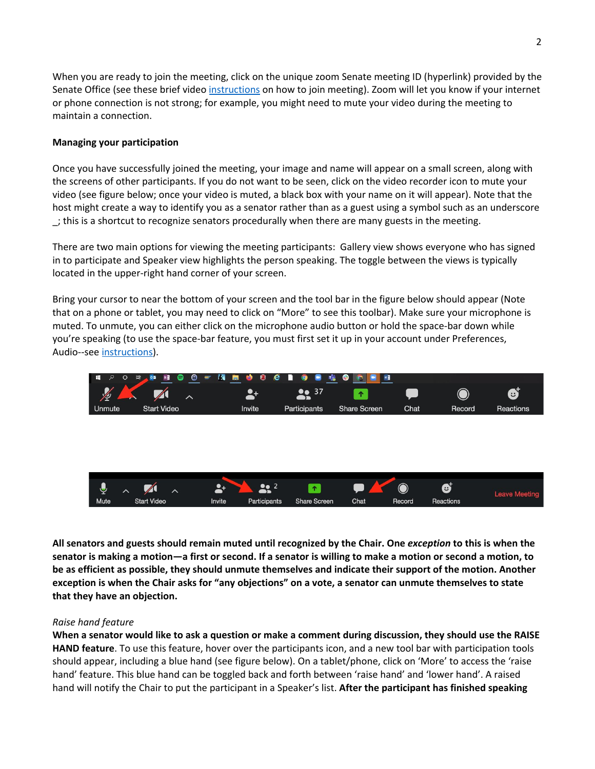When you are ready to join the meeting, click on the unique zoom Senate meeting ID (hyperlink) provided by the Senate Office (see these brief video [instructions](https://support.zoom.us/hc/en-us/articles/201362193-Joining-a-Meeting) on how to join meeting). Zoom will let you know if your internet or phone connection is not strong; for example, you might need to mute your video during the meeting to maintain a connection.

# **Managing your participation**

Once you have successfully joined the meeting, your image and name will appear on a small screen, along with the screens of other participants. If you do not want to be seen, click on the video recorder icon to mute your video (see figure below; once your video is muted, a black box with your name on it will appear). Note that the host might create a way to identify you as a senator rather than as a guest using a symbol such as an underscore \_; this is a shortcut to recognize senators procedurally when there are many guests in the meeting.

There are two main options for viewing the meeting participants: Gallery view shows everyone who has signed in to participate and Speaker view highlights the person speaking. The toggle between the views is typically located in the upper-right hand corner of your screen.

Bring your cursor to near the bottom of your screen and the tool bar in the figure below should appear (Note that on a phone or tablet, you may need to click on "More" to see this toolbar). Make sure your microphone is muted. To unmute, you can either click on the microphone audio button or hold the space-bar down while you're speaking (to use the space-bar feature, you must first set it up in your account under Preferences, Audio--see [instructions\)](https://support.zoom.us/hc/en-us/articles/360000510003-Push-to-Talk).



All senators and guests should remain muted until recognized by the Chair. One exception to this is when the senator is making a motion—a first or second. If a senator is willing to make a motion or second a motion, to be as efficient as possible, they should unmute themselves and indicate their support of the motion. Another exception is when the Chair asks for "any objections" on a vote, a senator can unmute themselves to state **that they have an objection.**

#### *Raise hand feature*

When a senator would like to ask a question or make a comment during discussion, they should use the RAISE **HAND feature**. To use this feature, hover over the participants icon, and a new tool bar with participation tools should appear, including a blue hand (see figure below). On a tablet/phone, click on 'More' to access the 'raise hand' feature. This blue hand can be toggled back and forth between 'raise hand' and 'lower hand'. A raised hand will notify the Chair to put the participant in a Speaker's list. **After the participant has finished speaking**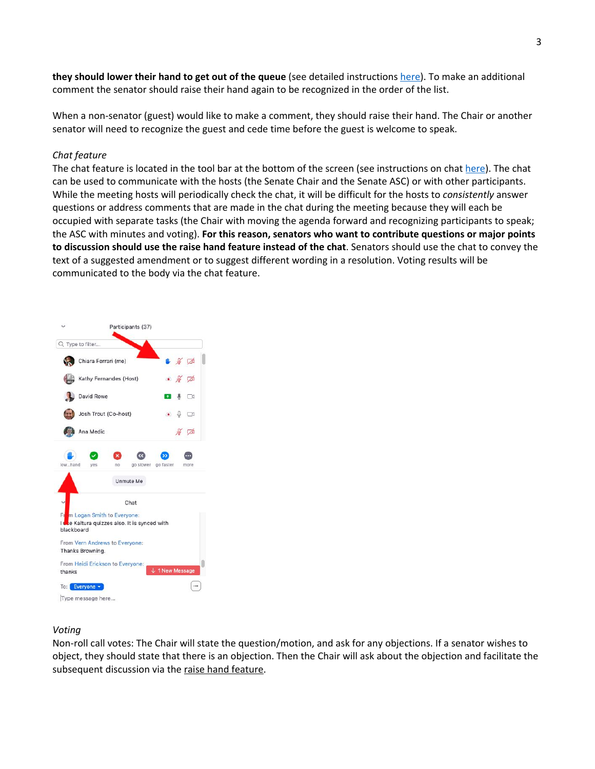**they should lower their hand to get out of the queue** (see detailed instructions [here\)](https://support.zoom.us/hc/en-us/articles/205566129-Raise-Hand-In-Webinar#h_12b8d38d-8d78-4e5b-95f9-f43bac647f2b). To make an additional comment the senator should raise their hand again to be recognized in the order of the list.

When a non-senator (guest) would like to make a comment, they should raise their hand. The Chair or another senator will need to recognize the guest and cede time before the guest is welcome to speak.

### *Chat feature*

The chat feature is located in the tool bar at the bottom of the screen (see instructions on chat [here\)](https://support.zoom.us/hc/en-us/articles/203650445-In-Meeting-Chat). The chat can be used to communicate with the hosts (the Senate Chair and the Senate ASC) or with other participants. While the meeting hosts will periodically check the chat, it will be difficult for the hosts to *consistently* answer questions or address comments that are made in the chat during the meeting because they will each be occupied with separate tasks (the Chair with moving the agenda forward and recognizing participants to speak; the ASC with minutes and voting). **For this reason, senators who want to contribute questions or major points to discussion should use the raise hand feature instead of the chat**. Senators should use the chat to convey the text of a suggested amendment or to suggest different wording in a resolution. Voting results will be communicated to the body via the chat feature.



#### *Voting*

Non-roll call votes: The Chair will state the question/motion, and ask for any objections. If a senator wishes to object, they should state that there is an objection. Then the Chair will ask about the objection and facilitate the subsequent discussion via the raise hand feature.